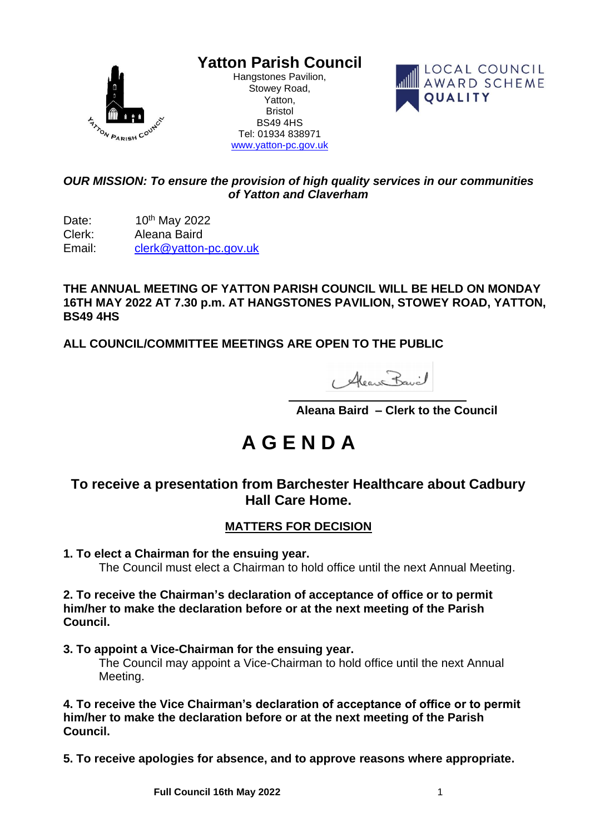

**Yatton Parish Council**

Hangstones Pavilion, Stowey Road, Yatton, Bristol BS49 4HS Tel: 01934 838971 [www.yatton-pc.gov.uk](http://www.yatton-pc.gov.uk/)



#### *OUR MISSION: To ensure the provision of high quality services in our communities of Yatton and Claverham*

Date: 10<sup>th</sup> May 2022 Clerk: Aleana Baird Email: [clerk@yatton-pc.gov.uk](mailto:clerk@yatton-pc.gov.uk)

**THE ANNUAL MEETING OF YATTON PARISH COUNCIL WILL BE HELD ON MONDAY 16TH MAY 2022 AT 7.30 p.m. AT HANGSTONES PAVILION, STOWEY ROAD, YATTON, BS49 4HS**

**ALL COUNCIL/COMMITTEE MEETINGS ARE OPEN TO THE PUBLIC**

1 Alean Bavil

 **Aleana Baird – Clerk to the Council**

# **A G E N D A**

# **To receive a presentation from Barchester Healthcare about Cadbury Hall Care Home.**

## **MATTERS FOR DECISION**

**1. To elect a Chairman for the ensuing year.**

The Council must elect a Chairman to hold office until the next Annual Meeting.

#### **2. To receive the Chairman's declaration of acceptance of office or to permit him/her to make the declaration before or at the next meeting of the Parish Council.**

**3. To appoint a Vice-Chairman for the ensuing year.**

The Council may appoint a Vice-Chairman to hold office until the next Annual Meeting.

**4. To receive the Vice Chairman's declaration of acceptance of office or to permit him/her to make the declaration before or at the next meeting of the Parish Council.**

**5. To receive apologies for absence, and to approve reasons where appropriate.**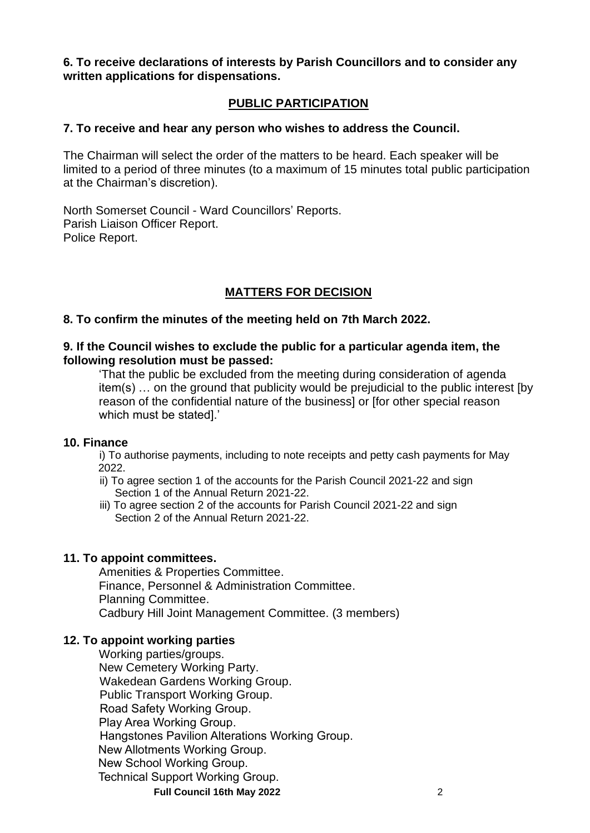**6. To receive declarations of interests by Parish Councillors and to consider any written applications for dispensations.**

#### **PUBLIC PARTICIPATION**

#### **7. To receive and hear any person who wishes to address the Council.**

The Chairman will select the order of the matters to be heard. Each speaker will be limited to a period of three minutes (to a maximum of 15 minutes total public participation at the Chairman's discretion).

North Somerset Council - Ward Councillors' Reports. Parish Liaison Officer Report. Police Report.

### **MATTERS FOR DECISION**

#### **8. To confirm the minutes of the meeting held on 7th March 2022.**

#### **9. If the Council wishes to exclude the public for a particular agenda item, the following resolution must be passed:**

'That the public be excluded from the meeting during consideration of agenda item(s) … on the ground that publicity would be prejudicial to the public interest [by reason of the confidential nature of the business] or [for other special reason which must be stated].'

#### **10. Finance**

i) To authorise payments, including to note receipts and petty cash payments for May 2022.

- ii) To agree section 1 of the accounts for the Parish Council 2021-22 and sign Section 1 of the Annual Return 2021-22.
- iii) To agree section 2 of the accounts for Parish Council 2021-22 and sign Section 2 of the Annual Return 2021-22.

#### **11. To appoint committees.**

Amenities & Properties Committee. Finance, Personnel & Administration Committee. Planning Committee. Cadbury Hill Joint Management Committee. (3 members)

#### **12. To appoint working parties**

**Full Council 16th May 2022** 2 Working parties/groups. New Cemetery Working Party. Wakedean Gardens Working Group. Public Transport Working Group. Road Safety Working Group. Play Area Working Group. Hangstones Pavilion Alterations Working Group. New Allotments Working Group. New School Working Group. Technical Support Working Group.